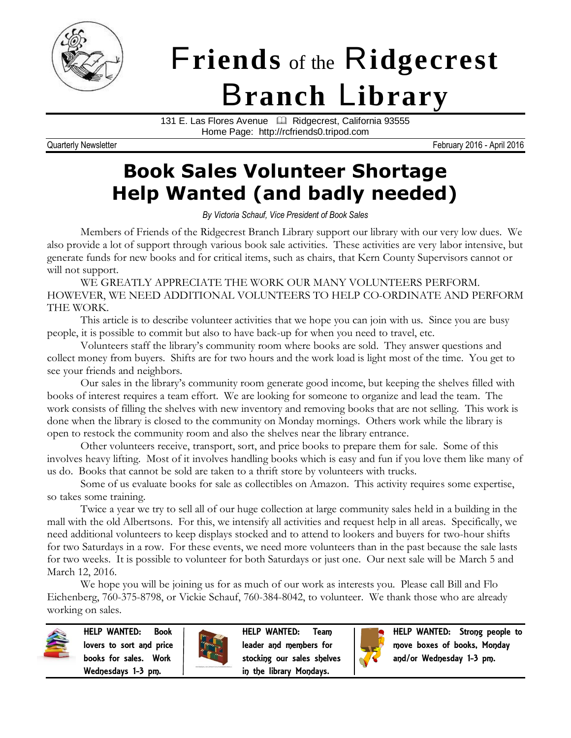

# F**riends** of the R**idgecrest** B**ranch** L**ibrary**

131 E. Las Flores Avenue <sup>1</sup> Ridgecrest, California 93555 Home Page: http://rcfriends0.tripod.com

Quarterly Newsletter **February 2016** - April 2016

# **Book Sales Volunteer Shortage Help Wanted (and badly needed)**

*By Victoria Schauf, Vice President of Book Sales*

Members of Friends of the Ridgecrest Branch Library support our library with our very low dues. We also provide a lot of support through various book sale activities. These activities are very labor intensive, but generate funds for new books and for critical items, such as chairs, that Kern County Supervisors cannot or will not support.

WE GREATLY APPRECIATE THE WORK OUR MANY VOLUNTEERS PERFORM. HOWEVER, WE NEED ADDITIONAL VOLUNTEERS TO HELP CO-ORDINATE AND PERFORM THE WORK.

This article is to describe volunteer activities that we hope you can join with us. Since you are busy people, it is possible to commit but also to have back-up for when you need to travel, etc.

Volunteers staff the library's community room where books are sold. They answer questions and collect money from buyers. Shifts are for two hours and the work load is light most of the time. You get to see your friends and neighbors.

Our sales in the library's community room generate good income, but keeping the shelves filled with books of interest requires a team effort. We are looking for someone to organize and lead the team. The work consists of filling the shelves with new inventory and removing books that are not selling. This work is done when the library is closed to the community on Monday mornings. Others work while the library is open to restock the community room and also the shelves near the library entrance.

Other volunteers receive, transport, sort, and price books to prepare them for sale. Some of this involves heavy lifting. Most of it involves handling books which is easy and fun if you love them like many of us do. Books that cannot be sold are taken to a thrift store by volunteers with trucks.

Some of us evaluate books for sale as collectibles on Amazon. This activity requires some expertise, so takes some training.

Twice a year we try to sell all of our huge collection at large community sales held in a building in the mall with the old Albertsons. For this, we intensify all activities and request help in all areas. Specifically, we need additional volunteers to keep displays stocked and to attend to lookers and buyers for two-hour shifts for two Saturdays in a row. For these events, we need more volunteers than in the past because the sale lasts for two weeks. It is possible to volunteer for both Saturdays or just one. Our next sale will be March 5 and March 12, 2016.

We hope you will be joining us for as much of our work as interests you. Please call Bill and Flo Eichenberg, 760-375-8798, or Vickie Schauf, 760-384-8042, to volunteer. We thank those who are already working on sales.



HELP WANTED: Book lovers to sort and price books for sales. Work Wednesdays 1-3 pm.



HELP WANTED: Team leader and members for stocking our sales shelves in the library Mondays.



HELP WANTED: Strong people to move boxes of books, Monday and/or Wednesday 1-3 pm.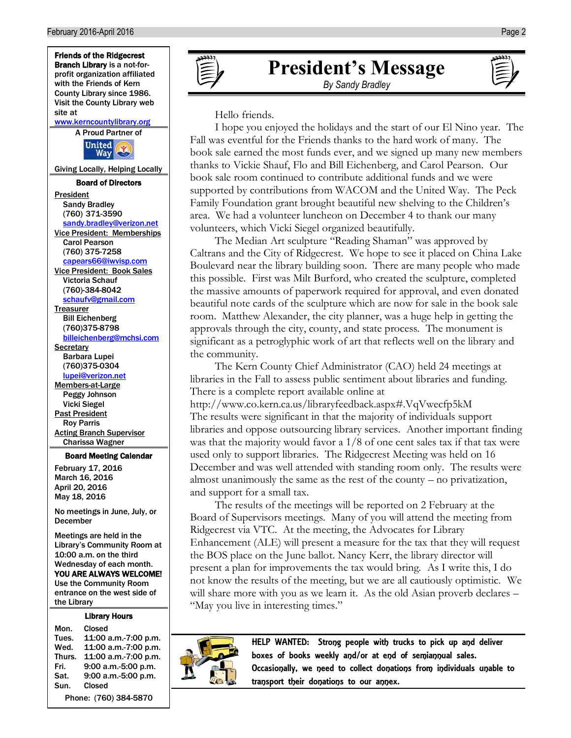

#### Library Hours

the Library

Mon. Closed Tues. 11:00 a.m.-7:00 p.m. Wed. 11:00 a.m.-7:00 p.m. Thurs. 11:00 a.m.-7:00 p.m. Fri. 9:00 a.m.-5:00 p.m. Sat. 9:00 a.m.-5:00 p.m. Sun. Closed

Phone: (760) 384-5870

# **President's Message**

*By Sandy Bradley*

Hello friends.

I hope you enjoyed the holidays and the start of our El Nino year. The Fall was eventful for the Friends thanks to the hard work of many. The book sale earned the most funds ever, and we signed up many new members thanks to Vickie Shauf, Flo and Bill Eichenberg, and Carol Pearson. Our book sale room continued to contribute additional funds and we were supported by contributions from WACOM and the United Way. The Peck Family Foundation grant brought beautiful new shelving to the Children's area. We had a volunteer luncheon on December 4 to thank our many volunteers, which Vicki Siegel organized beautifully.

The Median Art sculpture "Reading Shaman" was approved by Caltrans and the City of Ridgecrest. We hope to see it placed on China Lake Boulevard near the library building soon. There are many people who made this possible. First was Milt Burford, who created the sculpture, completed the massive amounts of paperwork required for approval, and even donated beautiful note cards of the sculpture which are now for sale in the book sale room. Matthew Alexander, the city planner, was a huge help in getting the approvals through the city, county, and state process. The monument is significant as a petroglyphic work of art that reflects well on the library and the community.

The Kern County Chief Administrator (CAO) held 24 meetings at libraries in the Fall to assess public sentiment about libraries and funding. There is a complete report available online at

<http://www.co.kern.ca.us/libraryfeedback.aspx#.VqVwecfp5kM> The results were significant in that the majority of individuals support libraries and oppose outsourcing library services. Another important finding was that the majority would favor a 1/8 of one cent sales tax if that tax were used only to support libraries. The Ridgecrest Meeting was held on 16 December and was well attended with standing room only. The results were almost unanimously the same as the rest of the county – no privatization, and support for a small tax.

The results of the meetings will be reported on 2 February at the Board of Supervisors meetings. Many of you will attend the meeting from Ridgecrest via VTC. At the meeting, the Advocates for Library Enhancement (ALE) will present a measure for the tax that they will request the BOS place on the June ballot. Nancy Kerr, the library director will present a plan for improvements the tax would bring. As I write this, I do not know the results of the meeting, but we are all cautiously optimistic. We will share more with you as we learn it. As the old Asian proverb declares – "May you live in interesting times."



HELP WANTED: Strong people with trucks to pick up and deliver boxes of books weekly and/or at end of semiannual sales. Occasionally, we need to collect donations from individuals unable to transport their donations to our annex.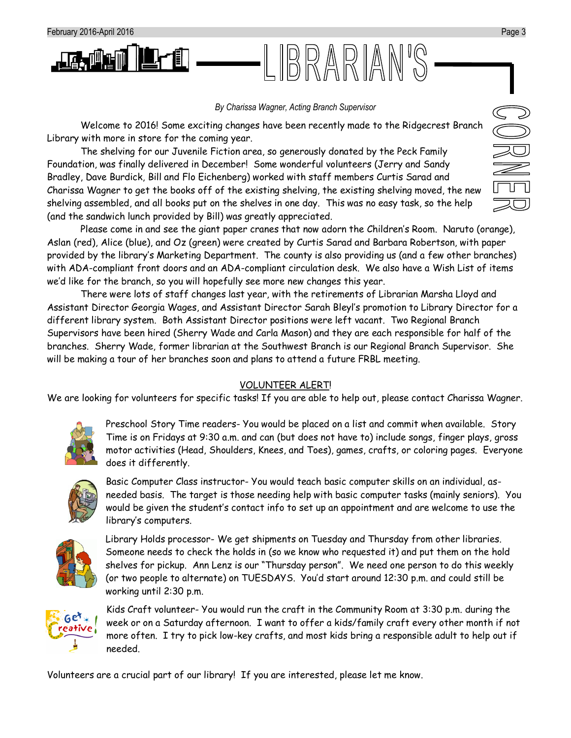

#### *By Charissa Wagner, Acting Branch Supervisor*

.IBRARIAN'S

Welcome to 2016! Some exciting changes have been recently made to the Ridgecrest Branch Library with more in store for the coming year.

The shelving for our Juvenile Fiction area, so generously donated by the Peck Family Foundation, was finally delivered in December! Some wonderful volunteers (Jerry and Sandy Bradley, Dave Burdick, Bill and Flo Eichenberg) worked with staff members Curtis Sarad and Charissa Wagner to get the books off of the existing shelving, the existing shelving moved, the new shelving assembled, and all books put on the shelves in one day. This was no easy task, so the help (and the sandwich lunch provided by Bill) was greatly appreciated.

Please come in and see the giant paper cranes that now adorn the Children's Room. Naruto (orange), Aslan (red), Alice (blue), and Oz (green) were created by Curtis Sarad and Barbara Robertson, with paper provided by the library's Marketing Department. The county is also providing us (and a few other branches) with ADA-compliant front doors and an ADA-compliant circulation desk. We also have a Wish List of items we'd like for the branch, so you will hopefully see more new changes this year.

There were lots of staff changes last year, with the retirements of Librarian Marsha Lloyd and Assistant Director Georgia Wages, and Assistant Director Sarah Bleyl's promotion to Library Director for a different library system. Both Assistant Director positions were left vacant. Two Regional Branch Supervisors have been hired (Sherry Wade and Carla Mason) and they are each responsible for half of the branches. Sherry Wade, former librarian at the Southwest Branch is our Regional Branch Supervisor. She will be making a tour of her branches soon and plans to attend a future FRBL meeting.

#### VOLUNTEER ALERT!

We are looking for volunteers for specific tasks! If you are able to help out, please contact Charissa Wagner.



Preschool Story Time readers- You would be placed on a list and commit when available. Story Time is on Fridays at 9:30 a.m. and can (but does not have to) include songs, finger plays, gross motor activities (Head, Shoulders, Knees, and Toes), games, crafts, or coloring pages. Everyone does it differently.



Basic Computer Class instructor- You would teach basic computer skills on an individual, asneeded basis. The target is those needing help with basic computer tasks (mainly seniors). You would be given the student's contact info to set up an appointment and are welcome to use the library's computers.



Library Holds processor- We get shipments on Tuesday and Thursday from other libraries. Someone needs to check the holds in (so we know who requested it) and put them on the hold shelves for pickup. Ann Lenz is our "Thursday person". We need one person to do this weekly (or two people to alternate) on TUESDAYS. You'd start around 12:30 p.m. and could still be working until 2:30 p.m.



Kids Craft volunteer- You would run the craft in the Community Room at 3:30 p.m. during the week or on a Saturday afternoon. I want to offer a kids/family craft every other month if not more often. I try to pick low-key crafts, and most kids bring a responsible adult to help out if needed.

Volunteers are a crucial part of our library! If you are interested, please let me know.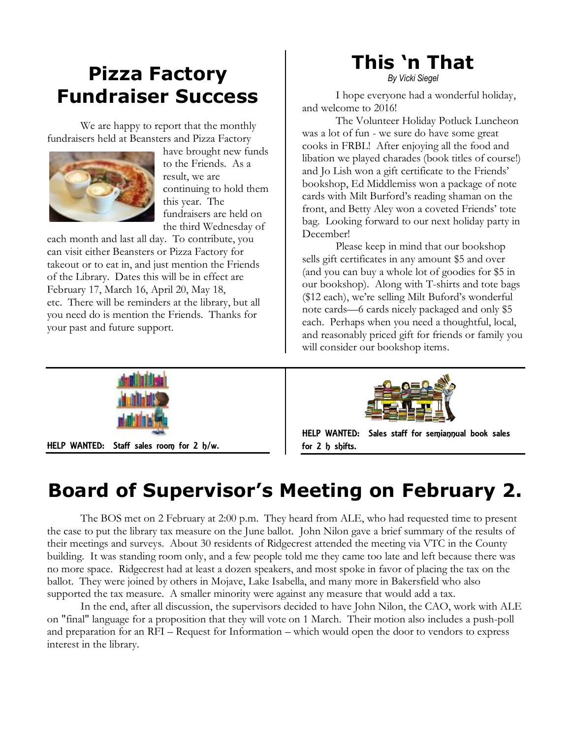## **Pizza Factory Fundraiser Success**

We are happy to report that the monthly fundraisers held at Beansters and Pizza Factory



have brought new funds to the Friends. As a result, we are continuing to hold them this year. The fundraisers are held on the third Wednesday of

each month and last all day. To contribute, you can visit either Beansters or Pizza Factory for takeout or to eat in, and just mention the Friends of the Library. Dates this will be in effect are February 17, March 16, April 20, May 18, etc. There will be reminders at the library, but all you need do is mention the Friends. Thanks for your past and future support.

# **This 'n That**

*By Vicki Siegel*

I hope everyone had a wonderful holiday, and welcome to 2016!

The Volunteer Holiday Potluck Luncheon was a lot of fun - we sure do have some great cooks in FRBL! After enjoying all the food and libation we played charades (book titles of course!) and Jo Lish won a gift certificate to the Friends' bookshop, Ed Middlemiss won a package of note cards with Milt Burford's reading shaman on the front, and Betty Aley won a coveted Friends' tote bag. Looking forward to our next holiday party in December!

Please keep in mind that our bookshop sells gift certificates in any amount \$5 and over (and you can buy a whole lot of goodies for \$5 in our bookshop). Along with T-shirts and tote bags (\$12 each), we're selling Milt Buford's wonderful note cards—6 cards nicely packaged and only \$5 each. Perhaps when you need a thoughtful, local, and reasonably priced gift for friends or family you will consider our bookshop items.



HELP WANTED: Staff sales room for 2 h/w.



HELP WANTED: Sales staff for semiannual book sales for 2 h shifts.

## **Board of Supervisor's Meeting on February 2.**

The BOS met on 2 February at 2:00 p.m. They heard from ALE, who had requested time to present the case to put the library tax measure on the June ballot. John Nilon gave a brief summary of the results of their meetings and surveys. About 30 residents of Ridgecrest attended the meeting via VTC in the County building. It was standing room only, and a few people told me they came too late and left because there was no more space. Ridgecrest had at least a dozen speakers, and most spoke in favor of placing the tax on the ballot. They were joined by others in Mojave, Lake Isabella, and many more in Bakersfield who also supported the tax measure. A smaller minority were against any measure that would add a tax.

In the end, after all discussion, the supervisors decided to have John Nilon, the CAO, work with ALE on "final" language for a proposition that they will vote on 1 March. Their motion also includes a push-poll and preparation for an RFI – Request for Information – which would open the door to vendors to express interest in the library.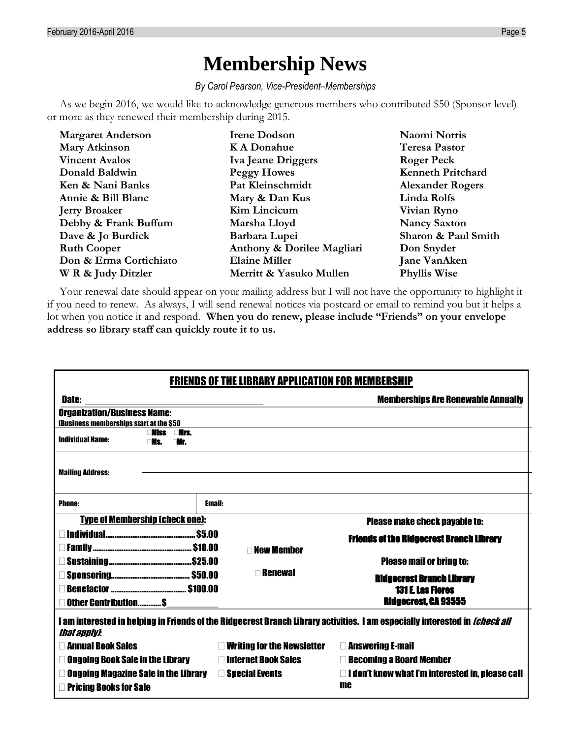### **Membership News**

*By Carol Pearson, Vice-President–Memberships*

As we begin 2016, we would like to acknowledge generous members who contributed \$50 (Sponsor level) or more as they renewed their membership during 2015.

| <b>Margaret Anderson</b> | <b>Irene Dodson</b>        | Naomi Norris             |
|--------------------------|----------------------------|--------------------------|
| <b>Mary Atkinson</b>     | <b>KA Donahue</b>          | <b>Teresa Pastor</b>     |
| <b>Vincent Avalos</b>    | Iva Jeane Driggers         | <b>Roger Peck</b>        |
| Donald Baldwin           | <b>Peggy Howes</b>         | <b>Kenneth Pritchard</b> |
| Ken & Nani Banks         | Pat Kleinschmidt           | <b>Alexander Rogers</b>  |
| Annie & Bill Blanc       | Mary & Dan Kus             | Linda Rolfs              |
| <b>Jerry Broaker</b>     | Kim Lincicum               | Vivian Ryno              |
| Debby & Frank Buffum     | Marsha Lloyd               | <b>Nancy Saxton</b>      |
| Dave & Jo Burdick        | Barbara Lupei              | Sharon & Paul Smith      |
| <b>Ruth Cooper</b>       | Anthony & Dorilee Magliari | Don Snyder               |
| Don & Erma Cortichiato   | <b>Elaine Miller</b>       | <b>Jane VanAken</b>      |
| W R & Judy Ditzler       | Merritt & Yasuko Mullen    | <b>Phyllis Wise</b>      |

Your renewal date should appear on your mailing address but I will not have the opportunity to highlight it if you need to renew. As always, I will send renewal notices via postcard or email to remind you but it helps a lot when you notice it and respond. **When you do renew, please include "Friends" on your envelope address so library staff can quickly route it to us.**

| <b>FRIENDS OF THE LIBRARY APPLICATION FOR MEMBERSHIP</b>                                                                                           |                                   |                                                               |  |
|----------------------------------------------------------------------------------------------------------------------------------------------------|-----------------------------------|---------------------------------------------------------------|--|
| <b>Memberships Are Renewable Annually</b><br><b>Date:</b>                                                                                          |                                   |                                                               |  |
| <b>Organization/Business Name:</b><br>(Business memberships start at the \$50                                                                      |                                   |                                                               |  |
| liss<br>∩Nrs.<br><b>Individual Name:</b><br>∩Mr                                                                                                    |                                   |                                                               |  |
| <b>Mailing Address:</b>                                                                                                                            |                                   |                                                               |  |
| <b>Phone:</b>                                                                                                                                      | <b>Email:</b>                     |                                                               |  |
| <b>Type of Membership (check one):</b><br><b>Please make check payable to:</b>                                                                     |                                   |                                                               |  |
|                                                                                                                                                    |                                   | <b>Friends of the Ridgecrest Branch Library</b>               |  |
| <b>New Member</b>                                                                                                                                  |                                   | <b>Please mail or bring to:</b>                               |  |
|                                                                                                                                                    | <b>Renewal</b>                    | <b>Ridgecrest Branch Library</b>                              |  |
| <b>131 E. Las Flores</b><br><b>Ridgecrest, CA 93555</b><br>Other Contribution\$                                                                    |                                   |                                                               |  |
| I am interested in helping in Friends of the Ridgecrest Branch Library activities. I am especially interested in <i>(check all</i><br>that apply). |                                   |                                                               |  |
| <b>Nannual Book Sales</b>                                                                                                                          | $\Box$ Writing for the Newsletter | <b>Example 2</b> Answering E-mail                             |  |
| <b>Ongoing Book Sale in the Library</b>                                                                                                            | □ Internet Book Sales             | <b>Executing a Board Member</b>                               |  |
| <b>Ongoing Magazine Sale in the Library <math>\Box</math> Special Events</b><br><b>Pricing Books for Sale</b>                                      |                                   | $\Box$ I don't know what I'm interested in, please call<br>me |  |